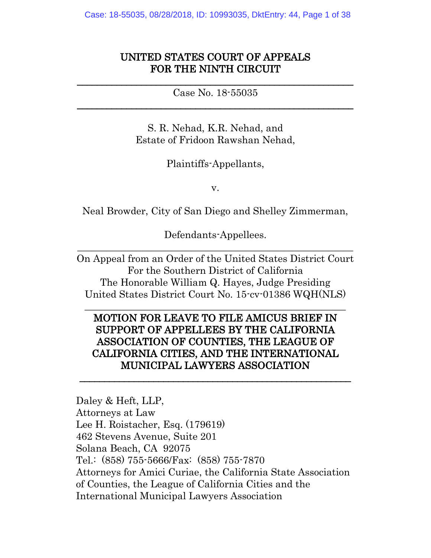# UNITED STATES COURT OF APPEALS FOR THE NINTH CIRCUIT

 $\mathcal{L}_\text{max} = \mathcal{L}_\text{max} = \mathcal{L}_\text{max} = \mathcal{L}_\text{max} = \mathcal{L}_\text{max} = \mathcal{L}_\text{max} = \mathcal{L}_\text{max} = \mathcal{L}_\text{max} = \mathcal{L}_\text{max} = \mathcal{L}_\text{max} = \mathcal{L}_\text{max} = \mathcal{L}_\text{max} = \mathcal{L}_\text{max} = \mathcal{L}_\text{max} = \mathcal{L}_\text{max} = \mathcal{L}_\text{max} = \mathcal{L}_\text{max} = \mathcal{L}_\text{max} = \mathcal{$ Case No. 18-55035 \_\_\_\_\_\_\_\_\_\_\_\_\_\_\_\_\_\_\_\_\_\_\_\_\_\_\_\_\_\_\_\_\_\_\_\_\_\_\_\_\_\_\_\_\_\_\_\_\_\_\_\_\_\_\_\_

> S. R. Nehad, K.R. Nehad, and Estate of Fridoon Rawshan Nehad,

> > Plaintiffs-Appellants,

v.

Neal Browder, City of San Diego and Shelley Zimmerman,

Defendants-Appellees.  $\_$  , and the contribution of the contribution of  $\mathcal{L}_\mathcal{A}$  , and the contribution of  $\mathcal{L}_\mathcal{A}$ 

On Appeal from an Order of the United States District Court For the Southern District of California The Honorable William Q. Hayes, Judge Presiding United States District Court No. 15-cv-01386 WQH(NLS)  $\frac{1}{2}$  ,  $\frac{1}{2}$  ,  $\frac{1}{2}$  ,  $\frac{1}{2}$  ,  $\frac{1}{2}$  ,  $\frac{1}{2}$  ,  $\frac{1}{2}$  ,  $\frac{1}{2}$  ,  $\frac{1}{2}$  ,  $\frac{1}{2}$  ,  $\frac{1}{2}$  ,  $\frac{1}{2}$  ,  $\frac{1}{2}$  ,  $\frac{1}{2}$  ,  $\frac{1}{2}$  ,  $\frac{1}{2}$  ,  $\frac{1}{2}$  ,  $\frac{1}{2}$  ,  $\frac{1$ 

# MOTION FOR LEAVE TO FILE AMICUS BRIEF IN SUPPORT OF APPELLEES BY THE CALIFORNIA ASSOCIATION OF COUNTIES, THE LEAGUE OF CALIFORNIA CITIES, AND THE INTERNATIONAL MUNICIPAL LAWYERS ASSOCIATION

 $\overline{\phantom{a}}$  , and the contract of the contract of the contract of the contract of the contract of the contract of the contract of the contract of the contract of the contract of the contract of the contract of the contrac

Daley & Heft, LLP, Attorneys at Law Lee H. Roistacher, Esq. (179619) 462 Stevens Avenue, Suite 201 Solana Beach, CA 92075 Tel.: (858) 755-5666/Fax: (858) 755-7870 Attorneys for Amici Curiae, the California State Association of Counties, the League of California Cities and the International Municipal Lawyers Association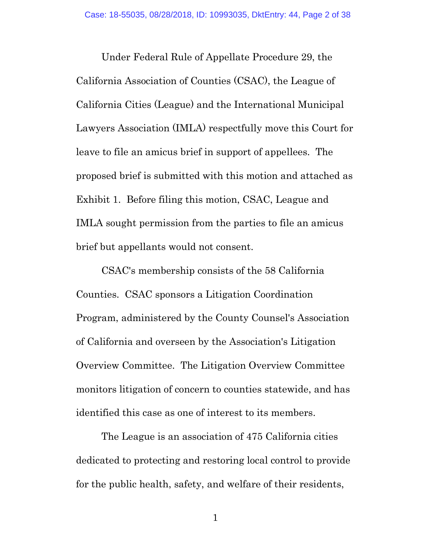Under Federal Rule of Appellate Procedure 29, the California Association of Counties (CSAC), the League of California Cities (League) and the International Municipal Lawyers Association (IMLA) respectfully move this Court for leave to file an amicus brief in support of appellees. The proposed brief is submitted with this motion and attached as Exhibit 1. Before filing this motion, CSAC, League and IMLA sought permission from the parties to file an amicus brief but appellants would not consent.

CSAC's membership consists of the 58 California Counties. CSAC sponsors a Litigation Coordination Program, administered by the County Counsel's Association of California and overseen by the Association's Litigation Overview Committee. The Litigation Overview Committee monitors litigation of concern to counties statewide, and has identified this case as one of interest to its members.

The League is an association of 475 California cities dedicated to protecting and restoring local control to provide for the public health, safety, and welfare of their residents,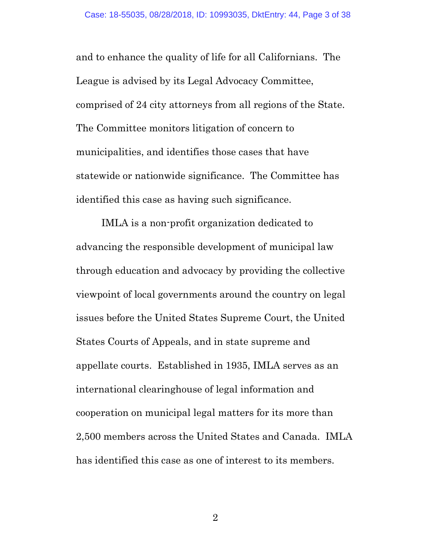and to enhance the quality of life for all Californians. The League is advised by its Legal Advocacy Committee, comprised of 24 city attorneys from all regions of the State. The Committee monitors litigation of concern to municipalities, and identifies those cases that have statewide or nationwide significance. The Committee has identified this case as having such significance.

IMLA is a non-profit organization dedicated to advancing the responsible development of municipal law through education and advocacy by providing the collective viewpoint of local governments around the country on legal issues before the United States Supreme Court, the United States Courts of Appeals, and in state supreme and appellate courts. Established in 1935, IMLA serves as an international clearinghouse of legal information and cooperation on municipal legal matters for its more than 2,500 members across the United States and Canada. IMLA has identified this case as one of interest to its members.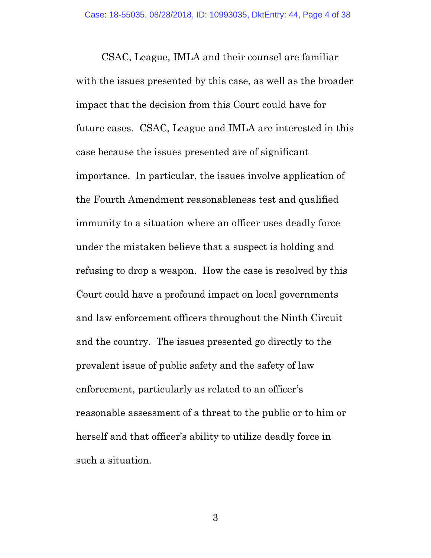CSAC, League, IMLA and their counsel are familiar with the issues presented by this case, as well as the broader impact that the decision from this Court could have for future cases. CSAC, League and IMLA are interested in this case because the issues presented are of significant importance. In particular, the issues involve application of the Fourth Amendment reasonableness test and qualified immunity to a situation where an officer uses deadly force under the mistaken believe that a suspect is holding and refusing to drop a weapon. How the case is resolved by this Court could have a profound impact on local governments and law enforcement officers throughout the Ninth Circuit and the country. The issues presented go directly to the prevalent issue of public safety and the safety of law enforcement, particularly as related to an officer's reasonable assessment of a threat to the public or to him or herself and that officer's ability to utilize deadly force in such a situation.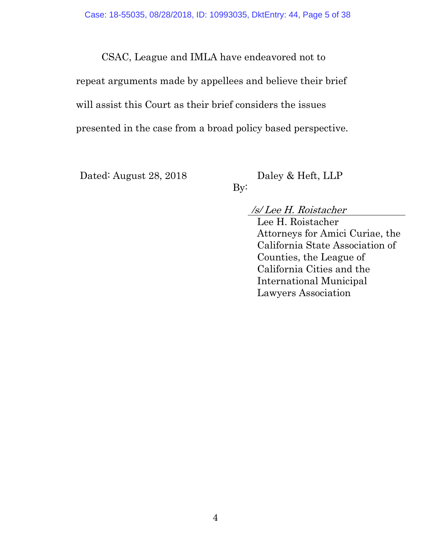CSAC, League and IMLA have endeavored not to

repeat arguments made by appellees and believe their brief will assist this Court as their brief considers the issues presented in the case from a broad policy based perspective.

Dated: August 28, 2018 Daley & Heft, LLP

By:

# /s/ Lee H. Roistacher

Lee H. Roistacher Attorneys for Amici Curiae, the California State Association of Counties, the League of California Cities and the International Municipal Lawyers Association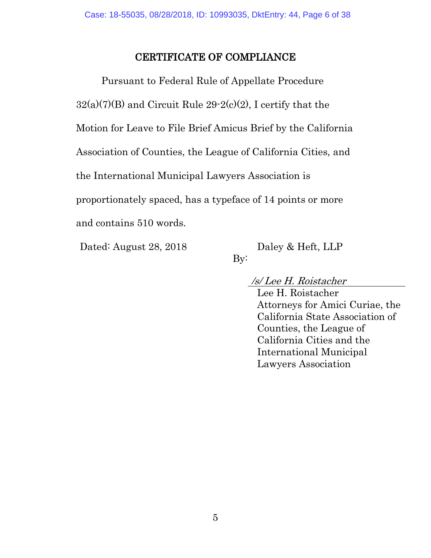# CERTIFICATE OF COMPLIANCE

Pursuant to Federal Rule of Appellate Procedure  $32(a)(7)(B)$  and Circuit Rule  $29-2(c)(2)$ , I certify that the Motion for Leave to File Brief Amicus Brief by the California Association of Counties, the League of California Cities, and the International Municipal Lawyers Association is proportionately spaced, has a typeface of 14 points or more and contains 510 words.

Dated: August 28, 2018 Daley & Heft, LLP

By:

/s/ Lee H. Roistacher

Lee H. Roistacher Attorneys for Amici Curiae, the California State Association of Counties, the League of California Cities and the International Municipal Lawyers Association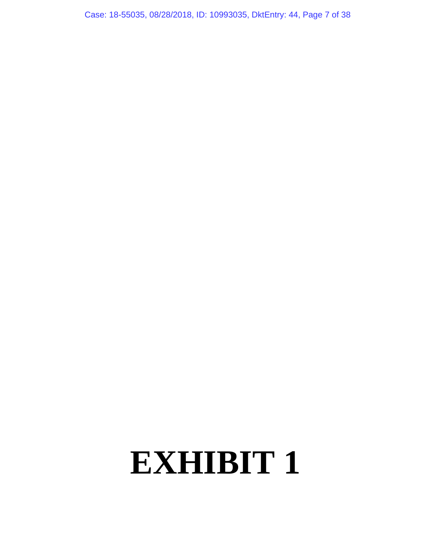Case: 18-55035, 08/28/2018, ID: 10993035, DktEntry: 44, Page 7 of 38

# **EXHIBIT 1**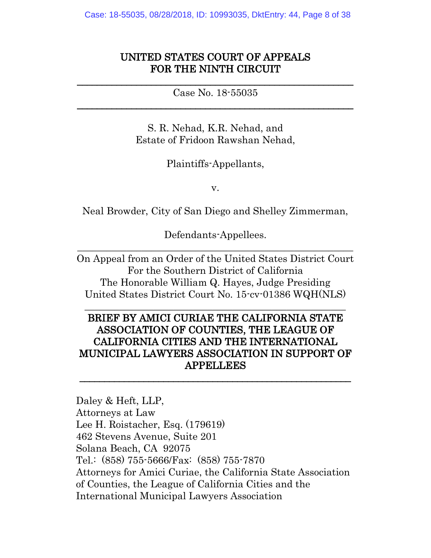# UNITED STATES COURT OF APPEALS FOR THE NINTH CIRCUIT

 $\mathcal{L}_\text{max} = \mathcal{L}_\text{max} = \mathcal{L}_\text{max} = \mathcal{L}_\text{max} = \mathcal{L}_\text{max} = \mathcal{L}_\text{max} = \mathcal{L}_\text{max} = \mathcal{L}_\text{max} = \mathcal{L}_\text{max} = \mathcal{L}_\text{max} = \mathcal{L}_\text{max} = \mathcal{L}_\text{max} = \mathcal{L}_\text{max} = \mathcal{L}_\text{max} = \mathcal{L}_\text{max} = \mathcal{L}_\text{max} = \mathcal{L}_\text{max} = \mathcal{L}_\text{max} = \mathcal{$ Case No. 18-55035 \_\_\_\_\_\_\_\_\_\_\_\_\_\_\_\_\_\_\_\_\_\_\_\_\_\_\_\_\_\_\_\_\_\_\_\_\_\_\_\_\_\_\_\_\_\_\_\_\_\_\_\_\_\_\_\_

> S. R. Nehad, K.R. Nehad, and Estate of Fridoon Rawshan Nehad,

> > Plaintiffs-Appellants,

v.

Neal Browder, City of San Diego and Shelley Zimmerman,

Defendants-Appellees.  $\_$  , and the contribution of the contribution of  $\mathcal{L}_\mathcal{A}$  , and the contribution of  $\mathcal{L}_\mathcal{A}$ 

On Appeal from an Order of the United States District Court For the Southern District of California The Honorable William Q. Hayes, Judge Presiding United States District Court No. 15-cv-01386 WQH(NLS)

 $\frac{1}{2}$  ,  $\frac{1}{2}$  ,  $\frac{1}{2}$  ,  $\frac{1}{2}$  ,  $\frac{1}{2}$  ,  $\frac{1}{2}$  ,  $\frac{1}{2}$  ,  $\frac{1}{2}$  ,  $\frac{1}{2}$  ,  $\frac{1}{2}$  ,  $\frac{1}{2}$  ,  $\frac{1}{2}$  ,  $\frac{1}{2}$  ,  $\frac{1}{2}$  ,  $\frac{1}{2}$  ,  $\frac{1}{2}$  ,  $\frac{1}{2}$  ,  $\frac{1}{2}$  ,  $\frac{1$ 

# BRIEF BY AMICI CURIAE THE CALIFORNIA STATE ASSOCIATION OF COUNTIES, THE LEAGUE OF CALIFORNIA CITIES AND THE INTERNATIONAL MUNICIPAL LAWYERS ASSOCIATION IN SUPPORT OF APPELLEES

 $\overline{\phantom{a}}$  , and the contract of the contract of the contract of the contract of the contract of the contract of the contract of the contract of the contract of the contract of the contract of the contract of the contrac

Daley & Heft, LLP, Attorneys at Law Lee H. Roistacher, Esq. (179619) 462 Stevens Avenue, Suite 201 Solana Beach, CA 92075 Tel.: (858) 755-5666/Fax: (858) 755-7870 Attorneys for Amici Curiae, the California State Association of Counties, the League of California Cities and the International Municipal Lawyers Association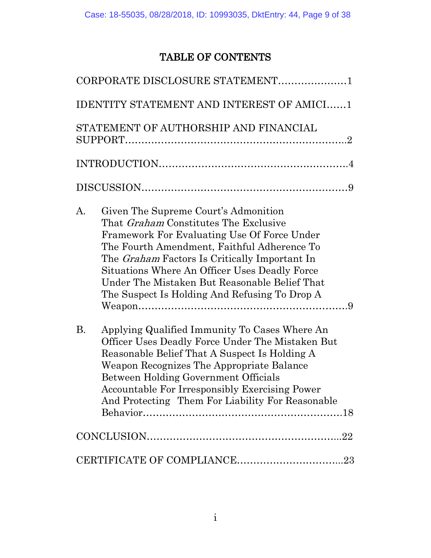# TABLE OF CONTENTS

| CORPORATE DISCLOSURE STATEMENT1                                                                                                                                                                                                                                                                                                                                                                     |
|-----------------------------------------------------------------------------------------------------------------------------------------------------------------------------------------------------------------------------------------------------------------------------------------------------------------------------------------------------------------------------------------------------|
| <b>IDENTITY STATEMENT AND INTEREST OF AMICI1</b>                                                                                                                                                                                                                                                                                                                                                    |
| STATEMENT OF AUTHORSHIP AND FINANCIAL                                                                                                                                                                                                                                                                                                                                                               |
|                                                                                                                                                                                                                                                                                                                                                                                                     |
|                                                                                                                                                                                                                                                                                                                                                                                                     |
| Given The Supreme Court's Admonition<br>A.<br>That <i>Graham</i> Constitutes The Exclusive<br>Framework For Evaluating Use Of Force Under<br>The Fourth Amendment, Faithful Adherence To<br>The <i>Graham</i> Factors Is Critically Important In<br>Situations Where An Officer Uses Deadly Force<br>Under The Mistaken But Reasonable Belief That<br>The Suspect Is Holding And Refusing To Drop A |
| <b>B.</b><br>Applying Qualified Immunity To Cases Where An<br>Officer Uses Deadly Force Under The Mistaken But<br>Reasonable Belief That A Suspect Is Holding A<br>Weapon Recognizes The Appropriate Balance<br>Between Holding Government Officials<br><b>Accountable For Irresponsibly Exercising Power</b><br>And Protecting Them For Liability For Reasonable                                   |
|                                                                                                                                                                                                                                                                                                                                                                                                     |
|                                                                                                                                                                                                                                                                                                                                                                                                     |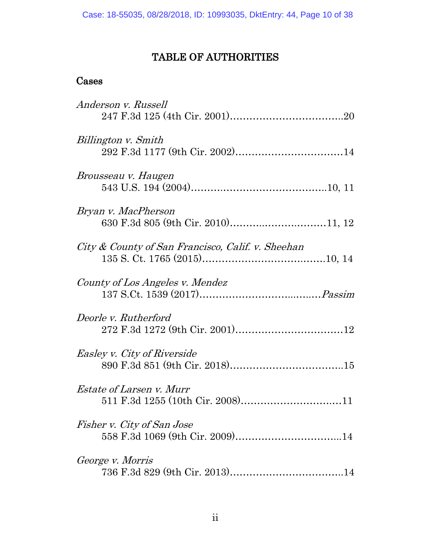# TABLE OF AUTHORITIES

# Cases

| Anderson v. Russell                               |
|---------------------------------------------------|
|                                                   |
| Billington v. Smith                               |
|                                                   |
| Brousseau v. Haugen                               |
|                                                   |
| Bryan v. MacPherson                               |
|                                                   |
| City & County of San Francisco, Calif. v. Sheehan |
|                                                   |
| County of Los Angeles v. Mendez                   |
|                                                   |
| Deorle v. Rutherford                              |
|                                                   |
| <i>Easley v. City of Riverside</i>                |
|                                                   |
| <i>Estate of Larsen v. Murr</i>                   |
|                                                   |
| Fisher v. City of San Jose                        |
|                                                   |
| George v. Morris                                  |
|                                                   |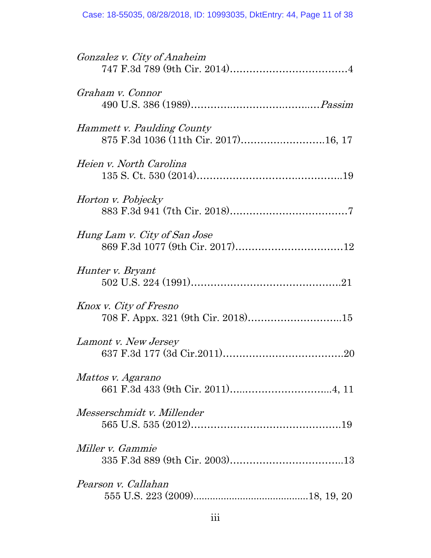| <i>Gonzalez v. City of Anaheim</i>                                 |
|--------------------------------------------------------------------|
| Graham v. Connor                                                   |
| Hammett v. Paulding County<br>875 F.3d 1036 (11th Cir. 2017)16, 17 |
| Heien v. North Carolina                                            |
| Horton v. Pobjecky                                                 |
| Hung Lam v. City of San Jose                                       |
| Hunter v. Bryant                                                   |
| Knox v. City of Fresno<br>708 F. Appx. 321 (9th Cir. 2018)15       |
| Lamont v. New Jersey                                               |
| Mattos v. Agarano                                                  |
| Messerschmidt v. Millender                                         |
| Miller v. Gammie                                                   |
| Pearson v. Callahan                                                |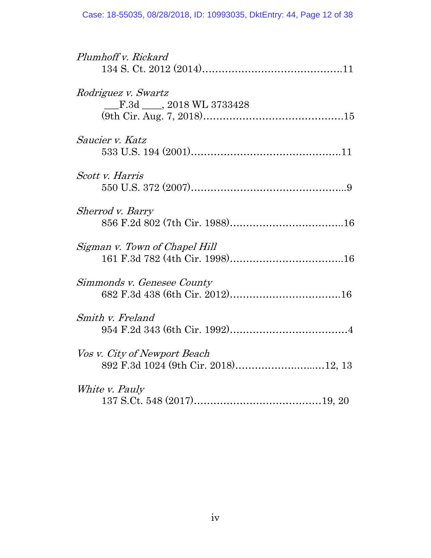| Plumhoff v. Rickard                                                 |
|---------------------------------------------------------------------|
| Rodriguez v. Swartz<br>F.3d . 2018 WL 3733428                       |
| <i>Saucier v. Katz</i>                                              |
| Scott v. Harris                                                     |
| Sherrod v. Barry                                                    |
| Sigman v. Town of Chapel Hill                                       |
| Simmonds v. Genesee County                                          |
| Smith v. Freland                                                    |
| Vos v. City of Newport Beach<br>892 F.3d 1024 (9th Cir. 2018)12, 13 |
| White <i>v. Pauly</i>                                               |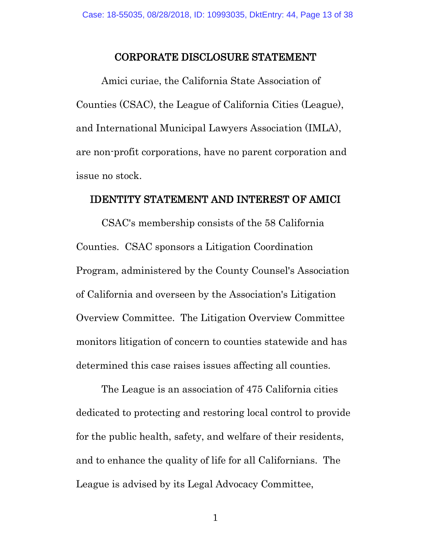#### CORPORATE DISCLOSURE STATEMENT

Amici curiae, the California State Association of Counties (CSAC), the League of California Cities (League), and International Municipal Lawyers Association (IMLA), are non-profit corporations, have no parent corporation and issue no stock.

#### IDENTITY STATEMENT AND INTEREST OF AMICI

CSAC's membership consists of the 58 California Counties. CSAC sponsors a Litigation Coordination Program, administered by the County Counsel's Association of California and overseen by the Association's Litigation Overview Committee. The Litigation Overview Committee monitors litigation of concern to counties statewide and has determined this case raises issues affecting all counties.

The League is an association of 475 California cities dedicated to protecting and restoring local control to provide for the public health, safety, and welfare of their residents, and to enhance the quality of life for all Californians. The League is advised by its Legal Advocacy Committee,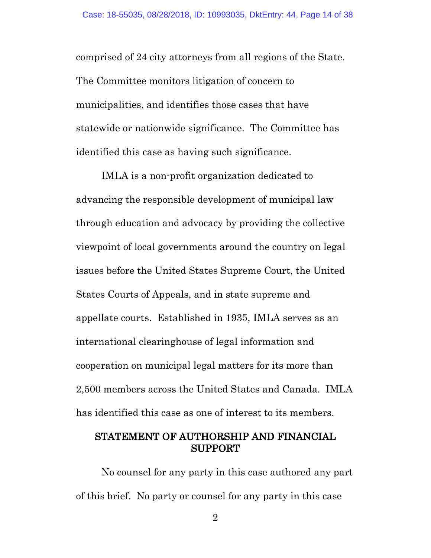comprised of 24 city attorneys from all regions of the State. The Committee monitors litigation of concern to municipalities, and identifies those cases that have statewide or nationwide significance. The Committee has identified this case as having such significance.

IMLA is a non-profit organization dedicated to advancing the responsible development of municipal law through education and advocacy by providing the collective viewpoint of local governments around the country on legal issues before the United States Supreme Court, the United States Courts of Appeals, and in state supreme and appellate courts. Established in 1935, IMLA serves as an international clearinghouse of legal information and cooperation on municipal legal matters for its more than 2,500 members across the United States and Canada. IMLA has identified this case as one of interest to its members.

### STATEMENT OF AUTHORSHIP AND FINANCIAL SUPPORT

No counsel for any party in this case authored any part of this brief. No party or counsel for any party in this case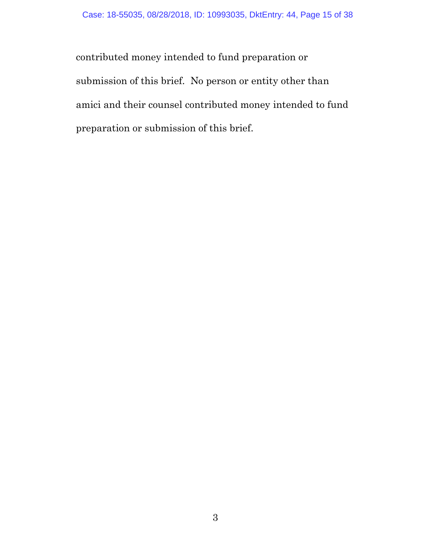contributed money intended to fund preparation or submission of this brief. No person or entity other than amici and their counsel contributed money intended to fund preparation or submission of this brief.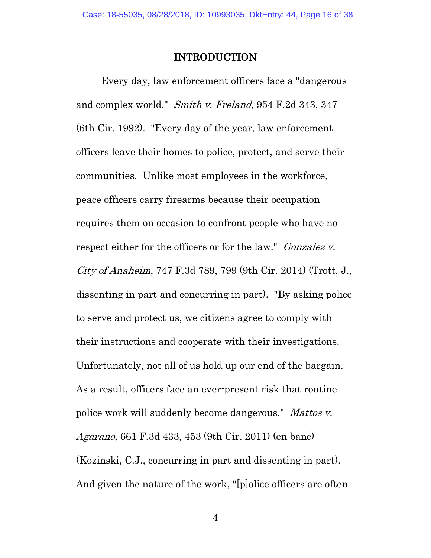#### INTRODUCTION

Every day, law enforcement officers face a "dangerous and complex world." Smith v. Freland, 954 F.2d 343, 347 (6th Cir. 1992). "Every day of the year, law enforcement officers leave their homes to police, protect, and serve their communities. Unlike most employees in the workforce, peace officers carry firearms because their occupation requires them on occasion to confront people who have no respect either for the officers or for the law." *Gonzalez v.* City of Anaheim, 747 F.3d 789, 799 (9th Cir. 2014) (Trott, J., dissenting in part and concurring in part). "By asking police to serve and protect us, we citizens agree to comply with their instructions and cooperate with their investigations. Unfortunately, not all of us hold up our end of the bargain. As a result, officers face an ever-present risk that routine police work will suddenly become dangerous." Mattos v. Agarano, 661 F.3d 433, 453 (9th Cir. 2011) (en banc) (Kozinski, C.J., concurring in part and dissenting in part). And given the nature of the work, "[p]olice officers are often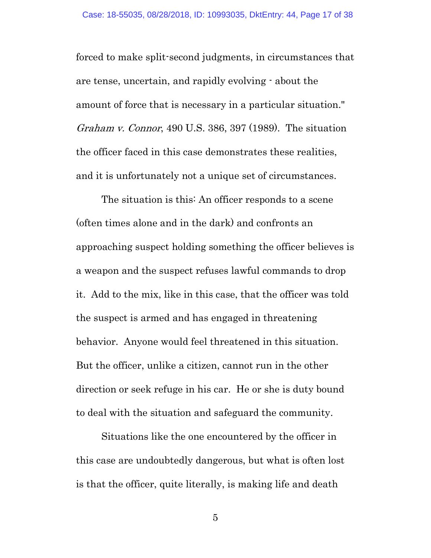forced to make split-second judgments, in circumstances that are tense, uncertain, and rapidly evolving - about the amount of force that is necessary in a particular situation." Graham v. Connor, 490 U.S. 386, 397 (1989). The situation the officer faced in this case demonstrates these realities, and it is unfortunately not a unique set of circumstances.

The situation is this: An officer responds to a scene (often times alone and in the dark) and confronts an approaching suspect holding something the officer believes is a weapon and the suspect refuses lawful commands to drop it. Add to the mix, like in this case, that the officer was told the suspect is armed and has engaged in threatening behavior. Anyone would feel threatened in this situation. But the officer, unlike a citizen, cannot run in the other direction or seek refuge in his car. He or she is duty bound to deal with the situation and safeguard the community.

Situations like the one encountered by the officer in this case are undoubtedly dangerous, but what is often lost is that the officer, quite literally, is making life and death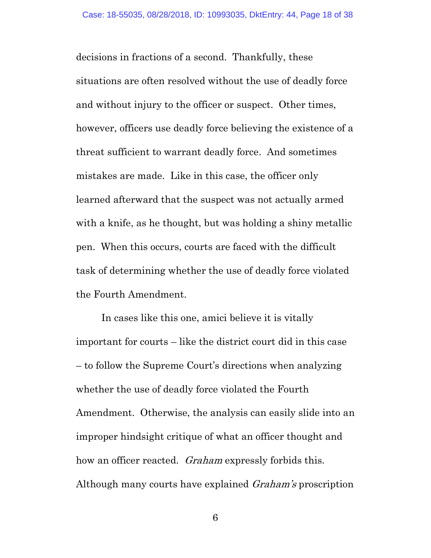decisions in fractions of a second. Thankfully, these situations are often resolved without the use of deadly force and without injury to the officer or suspect. Other times, however, officers use deadly force believing the existence of a threat sufficient to warrant deadly force. And sometimes mistakes are made. Like in this case, the officer only learned afterward that the suspect was not actually armed with a knife, as he thought, but was holding a shiny metallic pen. When this occurs, courts are faced with the difficult task of determining whether the use of deadly force violated the Fourth Amendment.

In cases like this one, amici believe it is vitally important for courts – like the district court did in this case – to follow the Supreme Court's directions when analyzing whether the use of deadly force violated the Fourth Amendment. Otherwise, the analysis can easily slide into an improper hindsight critique of what an officer thought and how an officer reacted. Graham expressly forbids this. Although many courts have explained Graham's proscription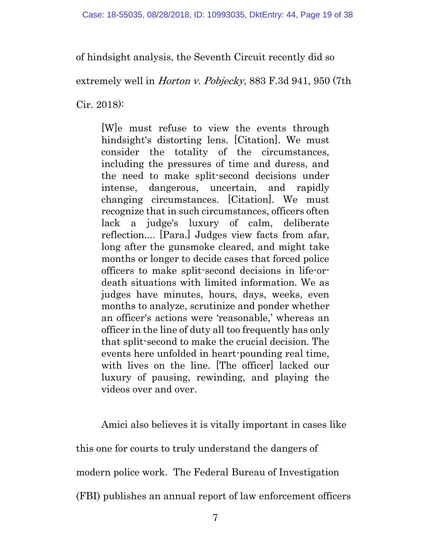of hindsight analysis, the Seventh Circuit recently did so

extremely well in *Horton v. Pobjecky*, 883 F.3d 941, 950 (7th

Cir. 2018):

[W]e must refuse to view the events through hindsight's distorting lens. [Citation]. We must consider the totality of the circumstances, including the pressures of time and duress, and the need to make split-second decisions under intense, dangerous, uncertain, and rapidly changing circumstances. [Citation]. We must recognize that in such circumstances, officers often lack a judge's luxury of calm, deliberate reflection.... [Para.] Judges view facts from afar, long after the gunsmoke cleared, and might take months or longer to decide cases that forced police officers to make split-second decisions in life-ordeath situations with limited information. We as judges have minutes, hours, days, weeks, even months to analyze, scrutinize and ponder whether an officer's actions were 'reasonable,' whereas an officer in the line of duty all too frequently has only that split-second to make the crucial decision. The events here unfolded in heart-pounding real time, with lives on the line. [The officer] lacked our luxury of pausing, rewinding, and playing the videos over and over.

Amici also believes it is vitally important in cases like this one for courts to truly understand the dangers of modern police work. The Federal Bureau of Investigation (FBI) publishes an annual report of law enforcement officers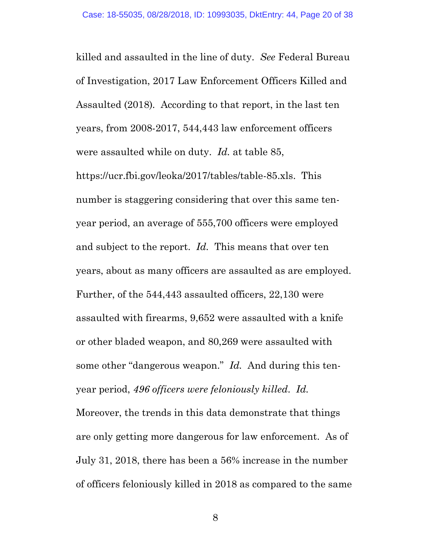killed and assaulted in the line of duty. *See* Federal Bureau of Investigation, 2017 Law Enforcement Officers Killed and Assaulted (2018)*.* According to that report, in the last ten years, from 2008-2017, 544,443 law enforcement officers were assaulted while on duty. *Id.* at table 85,

https://ucr.fbi.gov/leoka/2017/tables/table-85.xls. This number is staggering considering that over this same tenyear period, an average of 555,700 officers were employed and subject to the report. *Id.* This means that over ten years, about as many officers are assaulted as are employed. Further, of the 544,443 assaulted officers, 22,130 were assaulted with firearms, 9,652 were assaulted with a knife or other bladed weapon, and 80,269 were assaulted with some other "dangerous weapon." *Id.* And during this tenyear period, *496 officers were feloniously killed*. *Id.* 

Moreover, the trends in this data demonstrate that things are only getting more dangerous for law enforcement. As of July 31, 2018, there has been a 56% increase in the number of officers feloniously killed in 2018 as compared to the same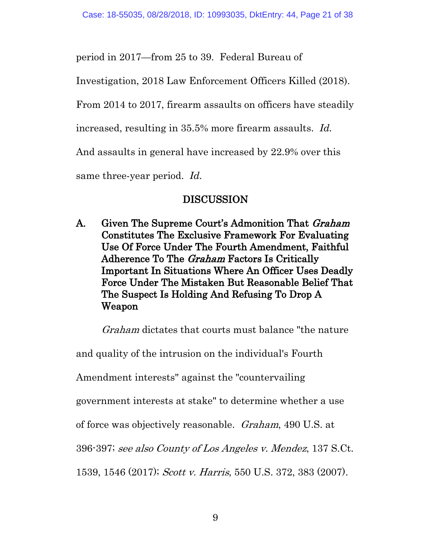period in 2017—from 25 to 39. Federal Bureau of

Investigation, 2018 Law Enforcement Officers Killed (2018).

From 2014 to 2017, firearm assaults on officers have steadily

increased, resulting in 35.5% more firearm assaults. *Id.*

And assaults in general have increased by 22.9% over this

same three-year period. *Id.*

# DISCUSSION

A. Given The Supreme Court's Admonition That *Graham*  Constitutes The Exclusive Framework For Evaluating Use Of Force Under The Fourth Amendment, Faithful Adherence To The Graham Factors Is Critically Important In Situations Where An Officer Uses Deadly Force Under The Mistaken But Reasonable Belief That The Suspect Is Holding And Refusing To Drop A Weapon

Graham dictates that courts must balance "the nature

and quality of the intrusion on the individual's Fourth

Amendment interests" against the "countervailing

government interests at stake" to determine whether a use

of force was objectively reasonable. Graham, 490 U.S. at

396-397; see also County of Los Angeles v. Mendez, 137 S.Ct.

1539, 1546 (2017); Scott v. Harris, 550 U.S. 372, 383 (2007).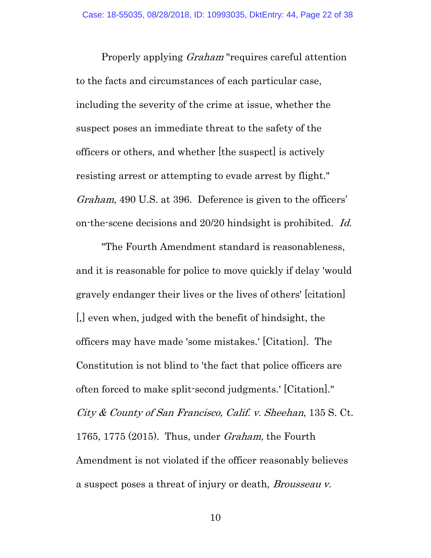Properly applying Graham "requires careful attention to the facts and circumstances of each particular case, including the severity of the crime at issue, whether the suspect poses an immediate threat to the safety of the officers or others, and whether [the suspect] is actively resisting arrest or attempting to evade arrest by flight." Graham, 490 U.S. at 396. Deference is given to the officers' on-the-scene decisions and 20/20 hindsight is prohibited. Id.

"The Fourth Amendment standard is reasonableness, and it is reasonable for police to move quickly if delay 'would gravely endanger their lives or the lives of others' [citation] [,] even when, judged with the benefit of hindsight, the officers may have made 'some mistakes.' [Citation]. The Constitution is not blind to 'the fact that police officers are often forced to make split-second judgments.' [Citation]." City & County of San Francisco, Calif. v. Sheehan, 135 S. Ct. 1765, 1775 (2015). Thus, under Graham, the Fourth Amendment is not violated if the officer reasonably believes a suspect poses a threat of injury or death, Brousseau v.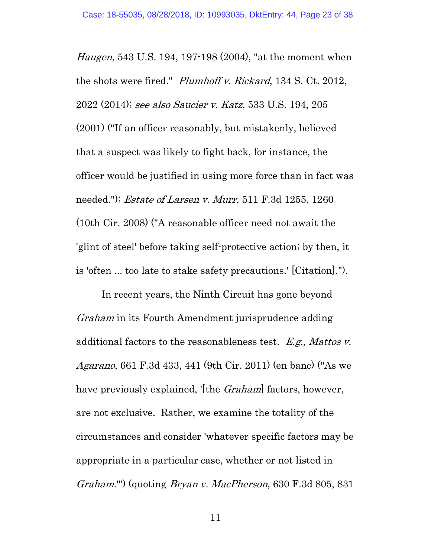Haugen, 543 U.S. 194, 197-198 (2004), "at the moment when the shots were fired." Plumhoff v. Rickard, 134 S. Ct. 2012, 2022 (2014); see also Saucier v. Katz, 533 U.S. 194, 205 (2001) ("If an officer reasonably, but mistakenly, believed that a suspect was likely to fight back, for instance, the officer would be justified in using more force than in fact was needed."); Estate of Larsen v. Murr, 511 F.3d 1255, 1260 (10th Cir. 2008) ("A reasonable officer need not await the 'glint of steel' before taking self-protective action; by then, it is 'often ... too late to stake safety precautions.' [Citation].").

In recent years, the Ninth Circuit has gone beyond Graham in its Fourth Amendment jurisprudence adding additional factors to the reasonableness test.  $E.g., \textit{Mattos } v.$ Agarano, 661 F.3d 433, 441 (9th Cir. 2011) (en banc) ("As we have previously explained, '[the *Graham*] factors, however, are not exclusive. Rather, we examine the totality of the circumstances and consider 'whatever specific factors may be appropriate in a particular case, whether or not listed in Graham.'") (quoting Bryan v. MacPherson, 630 F.3d 805, 831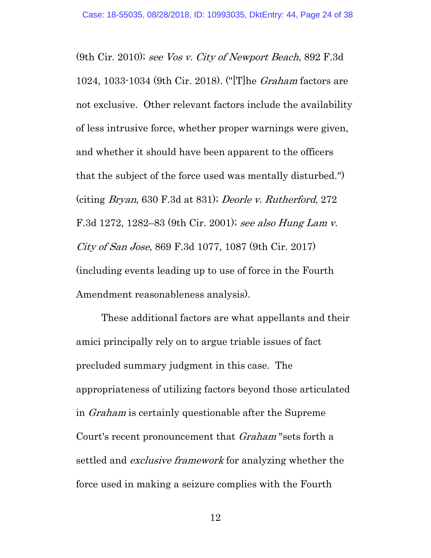(9th Cir. 2010); see Vos v. City of Newport Beach, 892 F.3d 1024, 1033-1034 (9th Cir. 2018). ("[T]he Graham factors are not exclusive. Other relevant factors include the availability of less intrusive force, whether proper warnings were given, and whether it should have been apparent to the officers that the subject of the force used was mentally disturbed.") (citing Bryan, 630 F.3d at 831); Deorle v. Rutherford, 272 F.3d 1272, 1282–83 (9th Cir. 2001); see also Hung Lam v. City of San Jose, 869 F.3d 1077, 1087 (9th Cir. 2017) (including events leading up to use of force in the Fourth Amendment reasonableness analysis).

These additional factors are what appellants and their amici principally rely on to argue triable issues of fact precluded summary judgment in this case. The appropriateness of utilizing factors beyond those articulated in Graham is certainly questionable after the Supreme Court's recent pronouncement that Graham "sets forth a settled and *exclusive framework* for analyzing whether the force used in making a seizure complies with the Fourth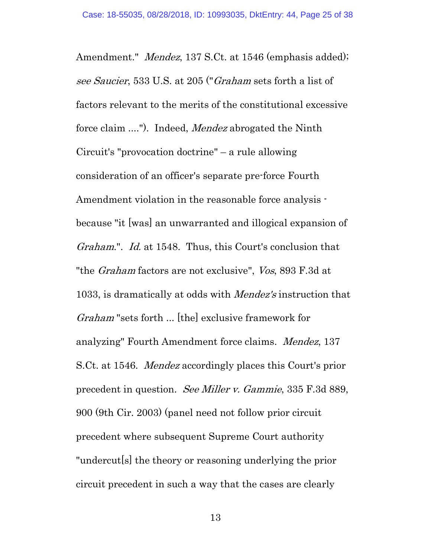Amendment." *Mendez*, 137 S.Ct. at 1546 (emphasis added); see Saucier, 533 U.S. at 205 ("Graham sets forth a list of factors relevant to the merits of the constitutional excessive force claim ...."). Indeed, *Mendez* abrogated the Ninth Circuit's "provocation doctrine" – a rule allowing consideration of an officer's separate pre-force Fourth Amendment violation in the reasonable force analysis because "it [was] an unwarranted and illogical expansion of Graham.". Id. at 1548. Thus, this Court's conclusion that "the *Graham* factors are not exclusive", *Vos*, 893 F.3d at 1033, is dramatically at odds with Mendez's instruction that Graham "sets forth ... [the] exclusive framework for analyzing" Fourth Amendment force claims. Mendez, 137 S.Ct. at 1546. Mendez accordingly places this Court's prior precedent in question. See Miller v. Gammie, 335 F.3d 889, 900 (9th Cir. 2003) (panel need not follow prior circuit precedent where subsequent Supreme Court authority "undercut[s] the theory or reasoning underlying the prior circuit precedent in such a way that the cases are clearly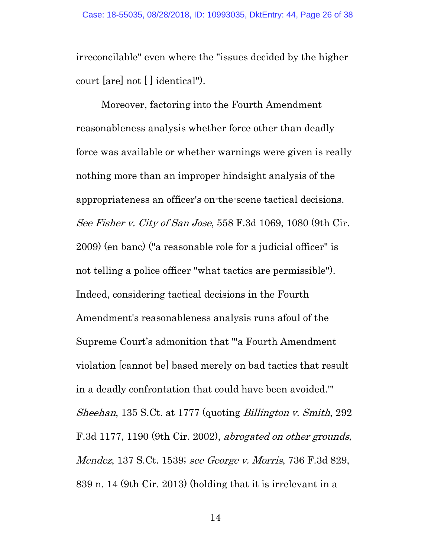irreconcilable" even where the "issues decided by the higher court [are] not [ ] identical").

Moreover, factoring into the Fourth Amendment reasonableness analysis whether force other than deadly force was available or whether warnings were given is really nothing more than an improper hindsight analysis of the appropriateness an officer's on-the-scene tactical decisions. See Fisher v. City of San Jose, 558 F.3d 1069, 1080 (9th Cir. 2009) (en banc) ("a reasonable role for a judicial officer" is not telling a police officer "what tactics are permissible"). Indeed, considering tactical decisions in the Fourth Amendment's reasonableness analysis runs afoul of the Supreme Court's admonition that "'a Fourth Amendment violation [cannot be] based merely on bad tactics that result in a deadly confrontation that could have been avoided.'" Sheehan, 135 S.Ct. at 1777 (quoting Billington v. Smith, 292 F.3d 1177, 1190 (9th Cir. 2002), abrogated on other grounds, Mendez, 137 S.Ct. 1539; see George v. Morris, 736 F.3d 829, 839 n. 14 (9th Cir. 2013) (holding that it is irrelevant in a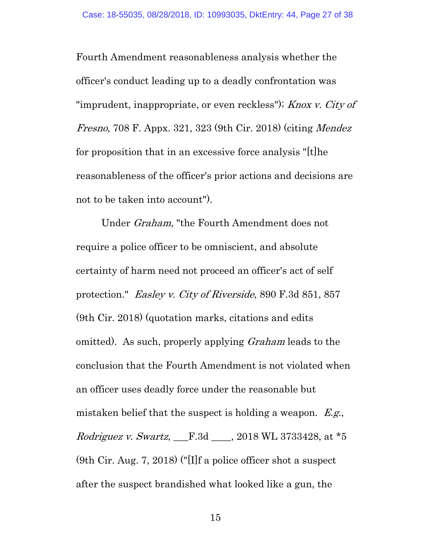Fourth Amendment reasonableness analysis whether the officer's conduct leading up to a deadly confrontation was "imprudent, inappropriate, or even reckless"); *Knox v. City of* Fresno, 708 F. Appx. 321, 323 (9th Cir. 2018) (citing Mendez for proposition that in an excessive force analysis "[t]he reasonableness of the officer's prior actions and decisions are not to be taken into account").

Under Graham, "the Fourth Amendment does not require a police officer to be omniscient, and absolute certainty of harm need not proceed an officer's act of self protection." Easley v. City of Riverside, 890 F.3d 851, 857 (9th Cir. 2018) (quotation marks, citations and edits omitted). As such, properly applying Graham leads to the conclusion that the Fourth Amendment is not violated when an officer uses deadly force under the reasonable but mistaken belief that the suspect is holding a weapon. E.g., Rodriguez v. Swartz, \_\_\_F.3d \_\_\_\_, 2018 WL 3733428, at \*5 (9th Cir. Aug. 7, 2018) ("[I]f a police officer shot a suspect after the suspect brandished what looked like a gun, the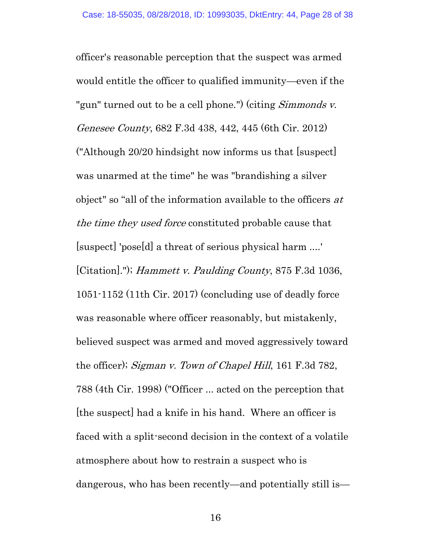officer's reasonable perception that the suspect was armed would entitle the officer to qualified immunity—even if the "gun" turned out to be a cell phone.") (citing *Simmonds v.* Genesee County, 682 F.3d 438, 442, 445 (6th Cir. 2012) ("Although 20/20 hindsight now informs us that [suspect] was unarmed at the time" he was "brandishing a silver object" so "all of the information available to the officers  $at$ the time they used force constituted probable cause that [suspect] 'pose[d] a threat of serious physical harm ....' [Citation]."); Hammett v. Paulding County, 875 F.3d 1036, 1051-1152 (11th Cir. 2017) (concluding use of deadly force was reasonable where officer reasonably, but mistakenly, believed suspect was armed and moved aggressively toward the officer); Sigman v. Town of Chapel Hill, 161 F.3d 782, 788 (4th Cir. 1998) ("Officer ... acted on the perception that [the suspect] had a knife in his hand. Where an officer is faced with a split-second decision in the context of a volatile atmosphere about how to restrain a suspect who is dangerous, who has been recently—and potentially still is—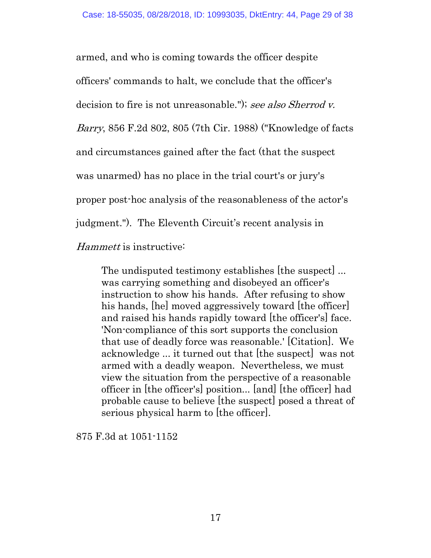armed, and who is coming towards the officer despite officers' commands to halt, we conclude that the officer's decision to fire is not unreasonable."); see also Sherrod v. Barry, 856 F.2d 802, 805 (7th Cir. 1988) ("Knowledge of facts and circumstances gained after the fact (that the suspect was unarmed) has no place in the trial court's or jury's proper post-hoc analysis of the reasonableness of the actor's judgment."). The Eleventh Circuit's recent analysis in

Hammett is instructive:

The undisputed testimony establishes [the suspect] ... was carrying something and disobeyed an officer's instruction to show his hands. After refusing to show his hands, [he] moved aggressively toward [the officer] and raised his hands rapidly toward [the officer's] face. 'Non-compliance of this sort supports the conclusion that use of deadly force was reasonable.' [Citation]. We acknowledge ... it turned out that [the suspect] was not armed with a deadly weapon. Nevertheless, we must view the situation from the perspective of a reasonable officer in [the officer's] position... [and] [the officer] had probable cause to believe [the suspect] posed a threat of serious physical harm to [the officer].

875 F.3d at 1051-1152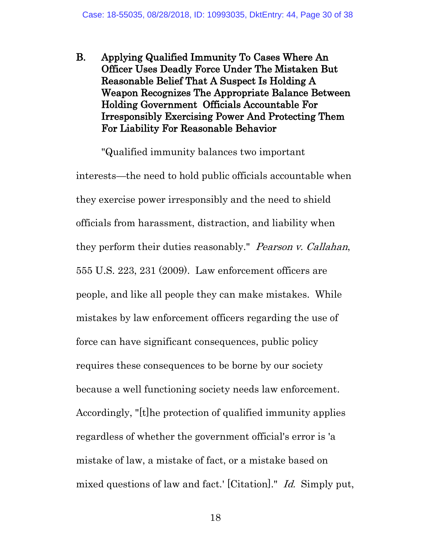B. Applying Qualified Immunity To Cases Where An Officer Uses Deadly Force Under The Mistaken But Reasonable Belief That A Suspect Is Holding A Weapon Recognizes The Appropriate Balance Between Holding Government Officials Accountable For Irresponsibly Exercising Power And Protecting Them For Liability For Reasonable Behavior

"Qualified immunity balances two important interests—the need to hold public officials accountable when they exercise power irresponsibly and the need to shield officials from harassment, distraction, and liability when they perform their duties reasonably." Pearson v. Callahan, 555 U.S. 223, 231 (2009). Law enforcement officers are people, and like all people they can make mistakes. While mistakes by law enforcement officers regarding the use of force can have significant consequences, public policy requires these consequences to be borne by our society because a well functioning society needs law enforcement. Accordingly, "[t]he protection of qualified immunity applies regardless of whether the government official's error is 'a mistake of law, a mistake of fact, or a mistake based on mixed questions of law and fact.' [Citation]." Id. Simply put,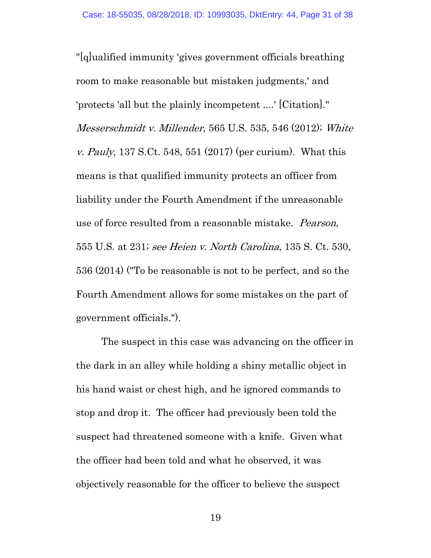"[q]ualified immunity 'gives government officials breathing room to make reasonable but mistaken judgments,' and 'protects 'all but the plainly incompetent ....' [Citation]." Messerschmidt v. Millender, 565 U.S. 535, 546 (2012); White v. Pauly, 137 S.Ct. 548, 551 (2017) (per curium). What this means is that qualified immunity protects an officer from liability under the Fourth Amendment if the unreasonable use of force resulted from a reasonable mistake. Pearson, 555 U.S. at 231; see Heien v. North Carolina, 135 S. Ct. 530, 536 (2014) ("To be reasonable is not to be perfect, and so the Fourth Amendment allows for some mistakes on the part of government officials.").

The suspect in this case was advancing on the officer in the dark in an alley while holding a shiny metallic object in his hand waist or chest high, and he ignored commands to stop and drop it. The officer had previously been told the suspect had threatened someone with a knife. Given what the officer had been told and what he observed, it was objectively reasonable for the officer to believe the suspect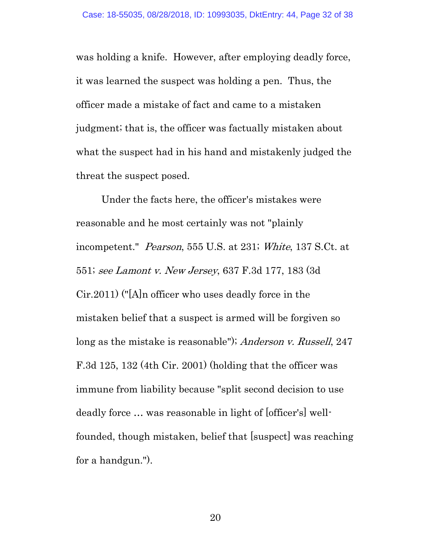was holding a knife. However, after employing deadly force, it was learned the suspect was holding a pen. Thus, the officer made a mistake of fact and came to a mistaken judgment; that is, the officer was factually mistaken about what the suspect had in his hand and mistakenly judged the threat the suspect posed.

Under the facts here, the officer's mistakes were reasonable and he most certainly was not "plainly incompetent." *Pearson*, 555 U.S. at 231; White, 137 S.Ct. at 551; see Lamont v. New Jersey, 637 F.3d 177, 183 (3d Cir.2011) ("[A]n officer who uses deadly force in the mistaken belief that a suspect is armed will be forgiven so long as the mistake is reasonable"); Anderson v. Russell, 247 F.3d 125, 132 (4th Cir. 2001) (holding that the officer was immune from liability because "split second decision to use deadly force … was reasonable in light of [officer's] wellfounded, though mistaken, belief that [suspect] was reaching for a handgun.").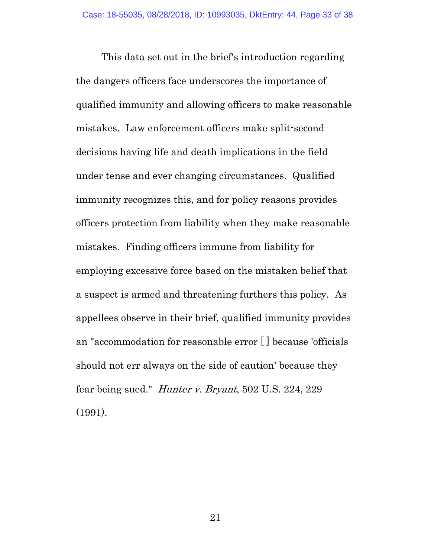This data set out in the brief's introduction regarding the dangers officers face underscores the importance of qualified immunity and allowing officers to make reasonable mistakes. Law enforcement officers make split-second decisions having life and death implications in the field under tense and ever changing circumstances. Qualified immunity recognizes this, and for policy reasons provides officers protection from liability when they make reasonable mistakes. Finding officers immune from liability for employing excessive force based on the mistaken belief that a suspect is armed and threatening furthers this policy. As appellees observe in their brief, qualified immunity provides an "accommodation for reasonable error [ ] because 'officials should not err always on the side of caution' because they fear being sued." Hunter v. Bryant, 502 U.S. 224, 229 (1991).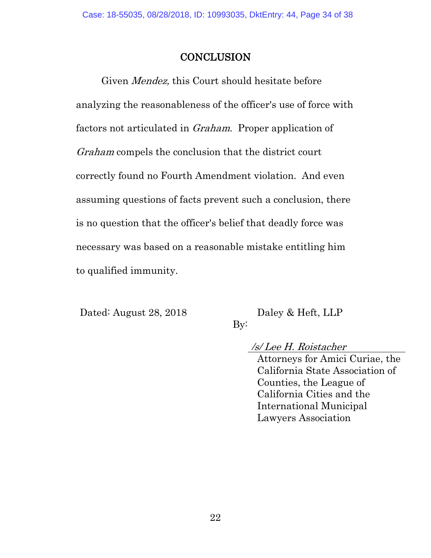# **CONCLUSION**

Given Mendez, this Court should hesitate before analyzing the reasonableness of the officer's use of force with factors not articulated in Graham. Proper application of Graham compels the conclusion that the district court correctly found no Fourth Amendment violation. And even assuming questions of facts prevent such a conclusion, there is no question that the officer's belief that deadly force was necessary was based on a reasonable mistake entitling him to qualified immunity.

Dated: August 28, 2018 Daley & Heft, LLP

By:

/s/ Lee H. Roistacher

Attorneys for Amici Curiae, the California State Association of Counties, the League of California Cities and the International Municipal Lawyers Association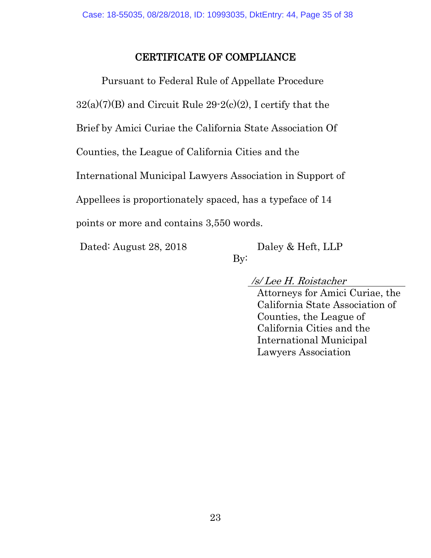# CERTIFICATE OF COMPLIANCE

Pursuant to Federal Rule of Appellate Procedure  $32(a)(7)(B)$  and Circuit Rule  $29-2(c)(2)$ , I certify that the Brief by Amici Curiae the California State Association Of Counties, the League of California Cities and the International Municipal Lawyers Association in Support of Appellees is proportionately spaced, has a typeface of 14 points or more and contains 3,550 words.

Dated: August 28, 2018 Daley & Heft, LLP

By:

/s/ Lee H. Roistacher

Attorneys for Amici Curiae, the California State Association of Counties, the League of California Cities and the International Municipal Lawyers Association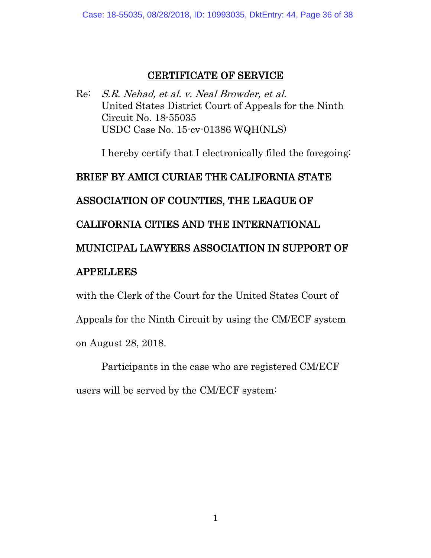# CERTIFICATE OF SERVICE

Re: S.R. Nehad, et al. v. Neal Browder, et al. United States District Court of Appeals for the Ninth Circuit No. 18-55035 USDC Case No. 15-cv-01386 WQH(NLS)

I hereby certify that I electronically filed the foregoing:

# BRIEF BY AMICI CURIAE THE CALIFORNIA STATE

# ASSOCIATION OF COUNTIES, THE LEAGUE OF

# CALIFORNIA CITIES AND THE INTERNATIONAL

# MUNICIPAL LAWYERS ASSOCIATION IN SUPPORT OF

# APPELLEES

with the Clerk of the Court for the United States Court of Appeals for the Ninth Circuit by using the CM/ECF system on August 28, 2018.

Participants in the case who are registered CM/ECF users will be served by the CM/ECF system: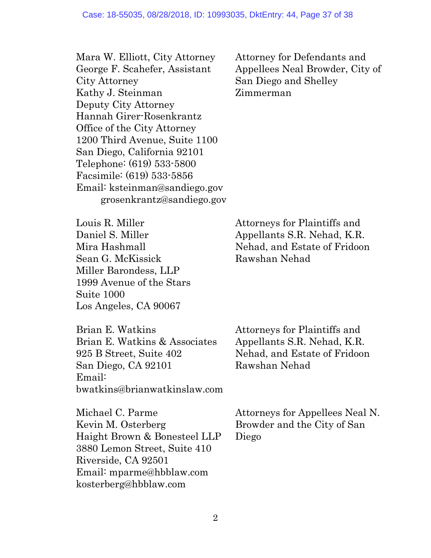Mara W. Elliott, City Attorney George F. Scahefer, Assistant City Attorney Kathy J. Steinman Deputy City Attorney Hannah Girer-Rosenkrantz Office of the City Attorney 1200 Third Avenue, Suite 1100 San Diego, California 92101 Telephone: (619) 533-5800 Facsimile: (619) 533-5856 Email: ksteinman@sandiego.gov grosenkrantz@sandiego.gov Attorney for Defendants and Appellees Neal Browder, City of San Diego and Shelley Zimmerman

Louis R. Miller Daniel S. Miller Mira Hashmall Sean G. McKissick Miller Barondess, LLP 1999 Avenue of the Stars Suite 1000 Los Angeles, CA 90067

Brian E. Watkins Brian E. Watkins & Associates 925 B Street, Suite 402 San Diego, CA 92101 Email: bwatkins@brianwatkinslaw.com Attorneys for Plaintiffs and Appellants S.R. Nehad, K.R. Nehad, and Estate of Fridoon Rawshan Nehad

Michael C. Parme Kevin M. Osterberg Haight Brown & Bonesteel LLP 3880 Lemon Street, Suite 410 Riverside, CA 92501 Email: mparme@hbblaw.com kosterberg@hbblaw.com

Attorneys for Appellees Neal N. Browder and the City of San Diego

Attorneys for Plaintiffs and Appellants S.R. Nehad, K.R. Nehad, and Estate of Fridoon Rawshan Nehad